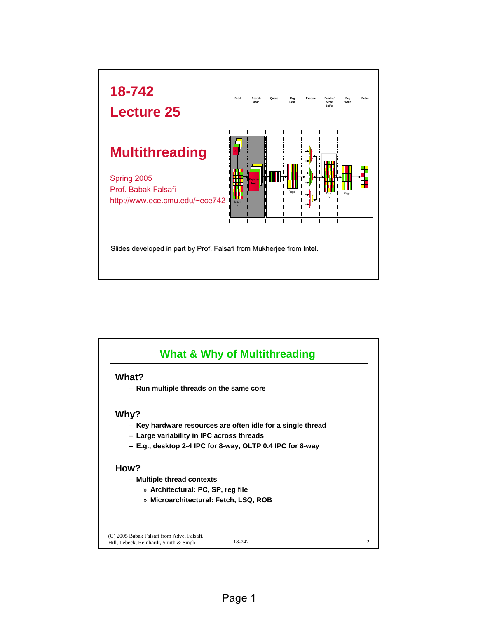

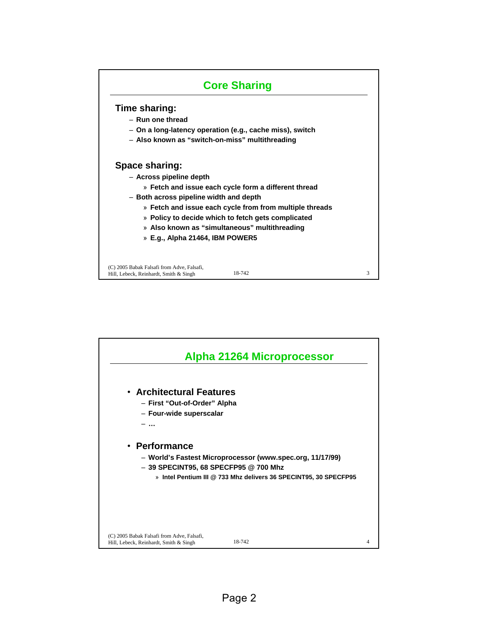

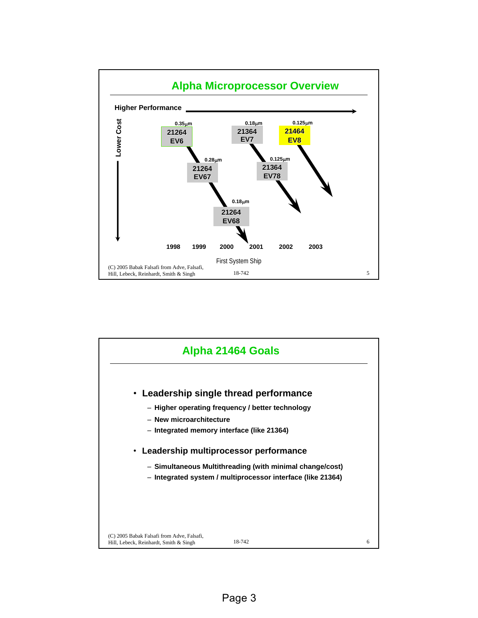

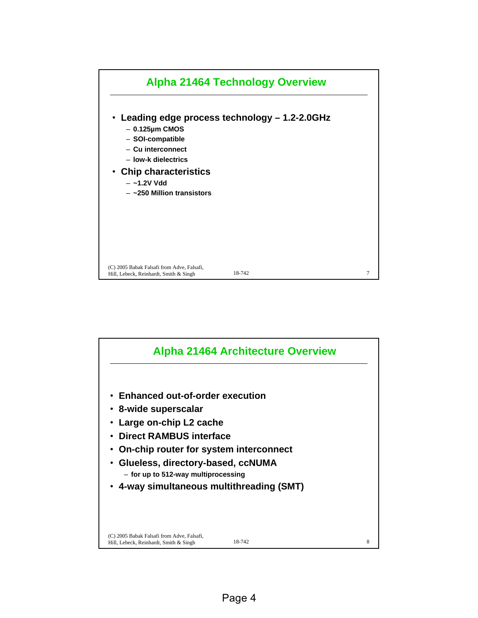

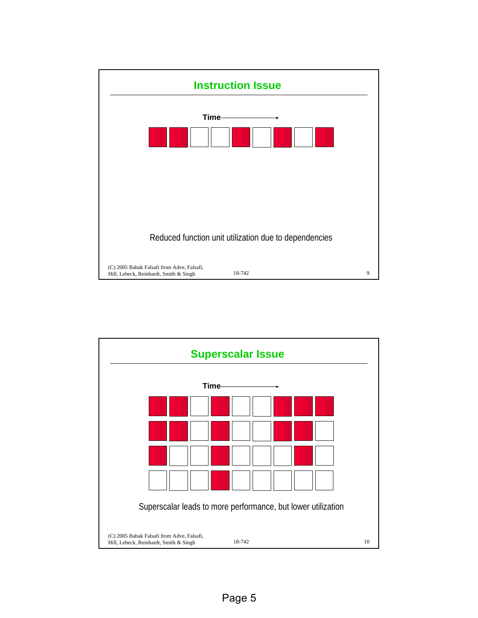

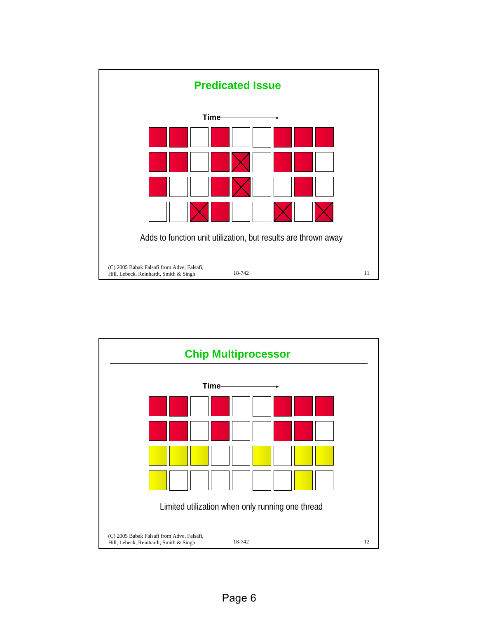

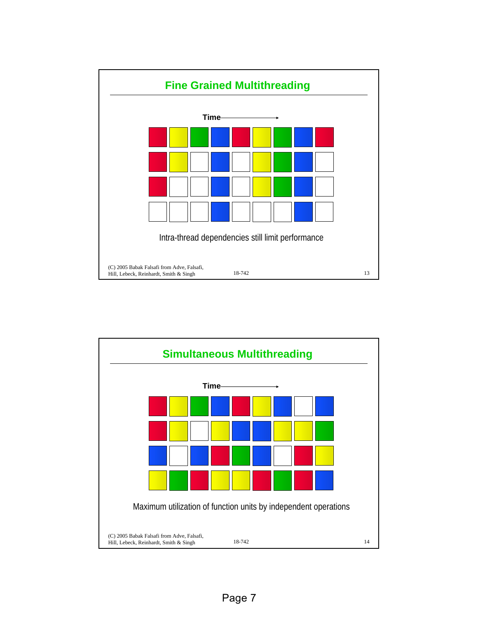

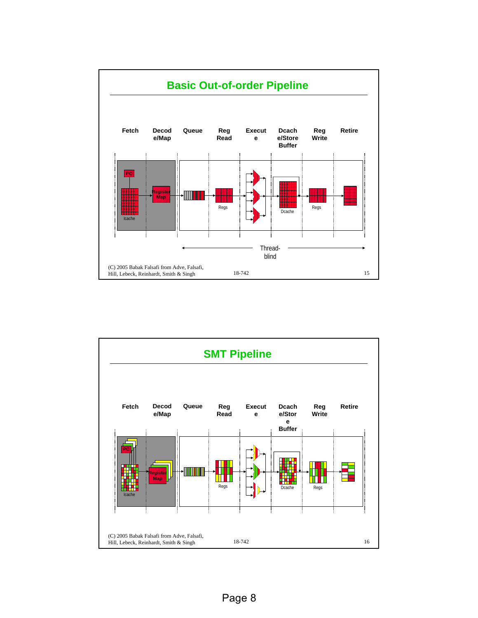![](_page_7_Figure_0.jpeg)

![](_page_7_Figure_1.jpeg)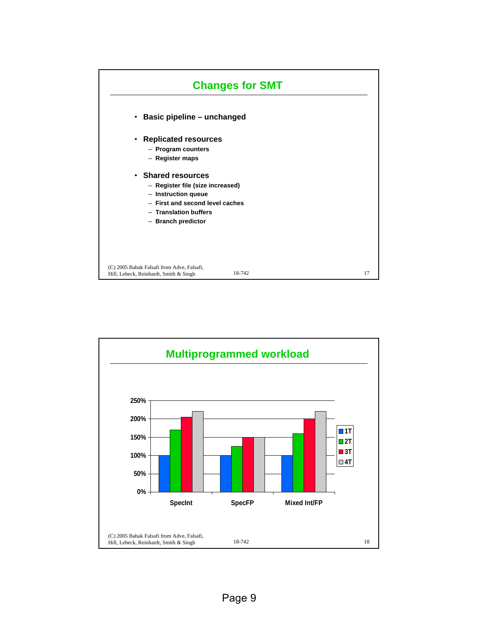![](_page_8_Figure_0.jpeg)

![](_page_8_Figure_1.jpeg)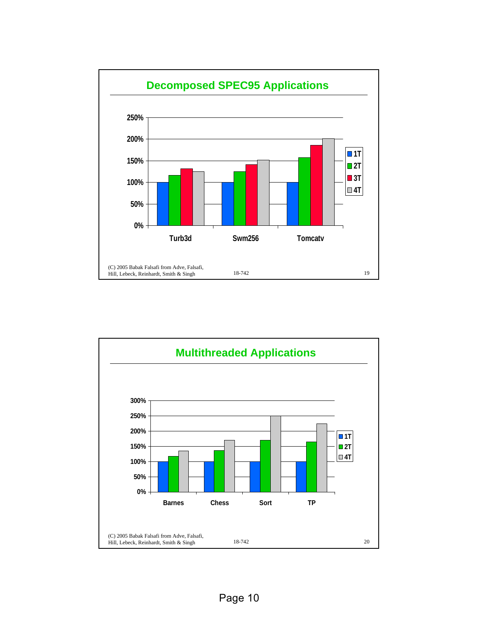![](_page_9_Figure_0.jpeg)

![](_page_9_Figure_1.jpeg)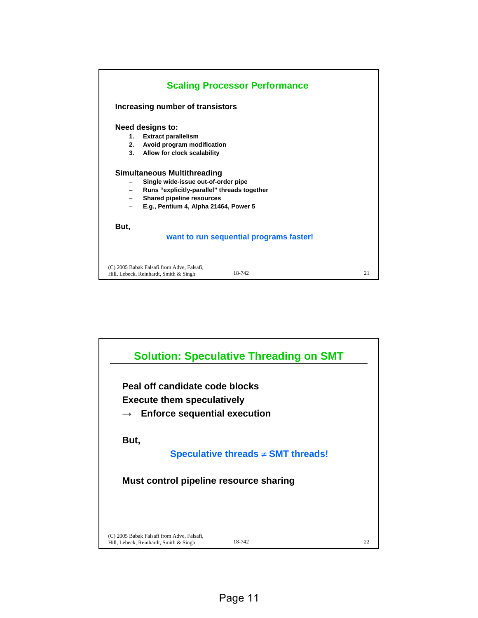![](_page_10_Figure_0.jpeg)

![](_page_10_Figure_1.jpeg)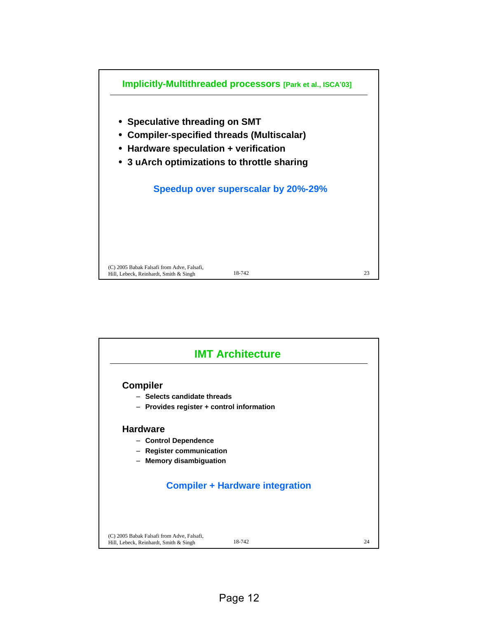![](_page_11_Figure_0.jpeg)

![](_page_11_Figure_1.jpeg)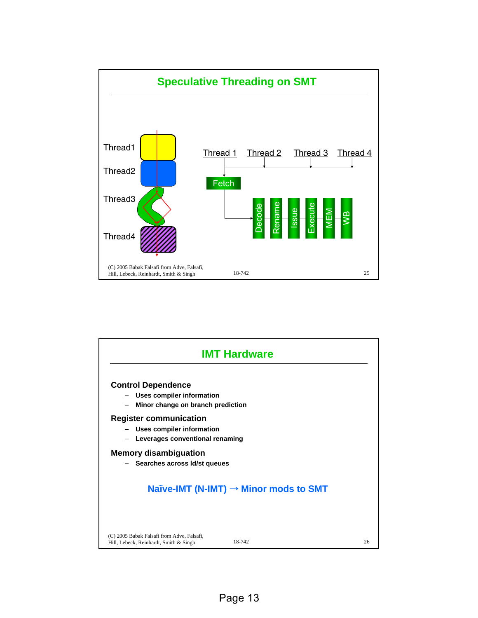![](_page_12_Figure_0.jpeg)

![](_page_12_Figure_1.jpeg)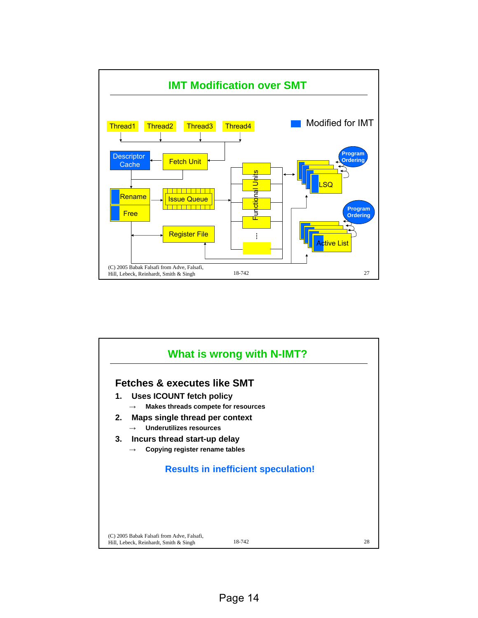![](_page_13_Figure_0.jpeg)

![](_page_13_Figure_1.jpeg)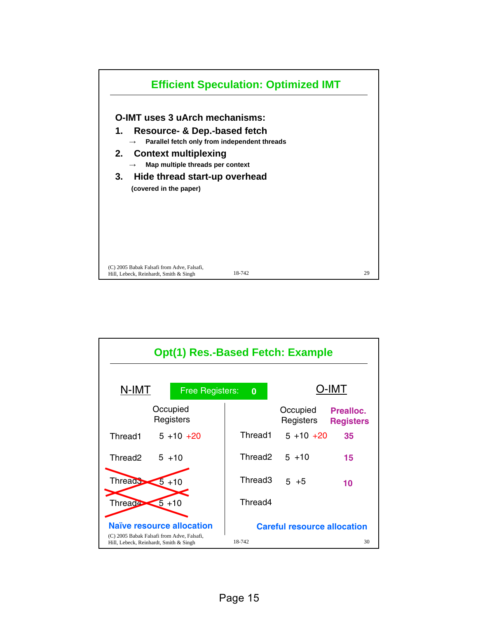![](_page_14_Figure_0.jpeg)

![](_page_14_Figure_1.jpeg)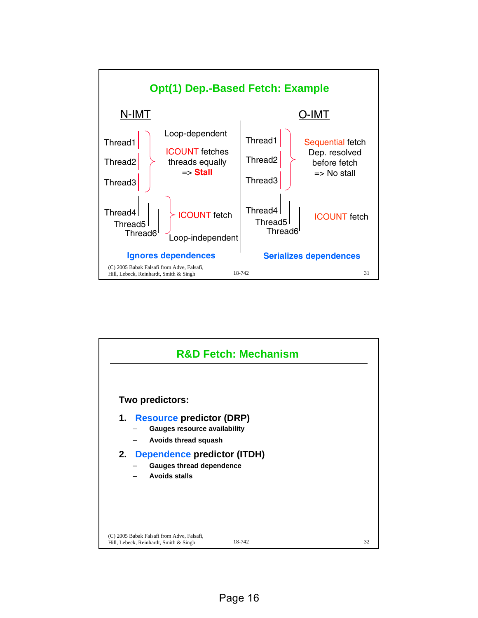![](_page_15_Figure_0.jpeg)

![](_page_15_Figure_1.jpeg)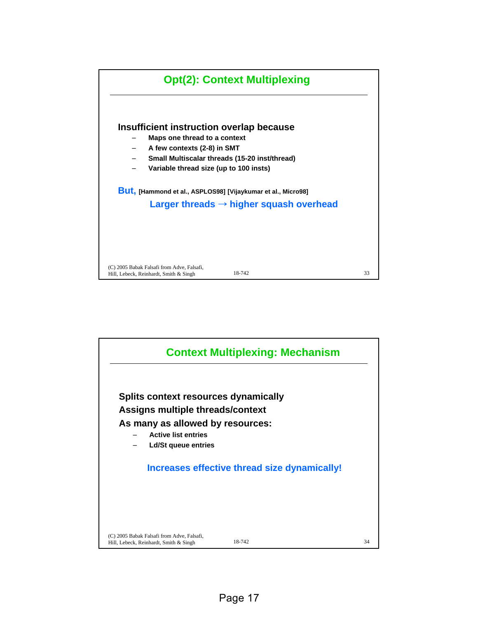![](_page_16_Figure_0.jpeg)

![](_page_16_Figure_1.jpeg)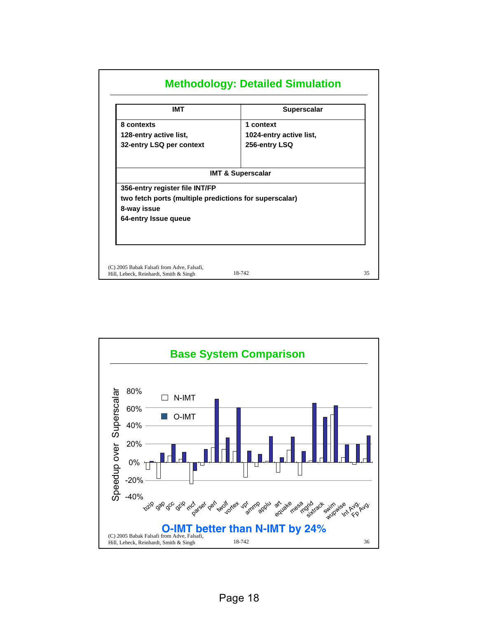| <b>IMT</b>                                                                               | <b>Superscalar</b>           |
|------------------------------------------------------------------------------------------|------------------------------|
| 8 contexts                                                                               | 1 context                    |
| 128-entry active list,                                                                   | 1024-entry active list,      |
| 32-entry LSQ per context                                                                 | 256-entry LSQ                |
| 356-entry register file INT/FP<br>two fetch ports (multiple predictions for superscalar) | <b>IMT &amp; Superscalar</b> |
| 8-way issue<br>64-entry Issue queue                                                      |                              |
|                                                                                          |                              |

![](_page_17_Figure_1.jpeg)